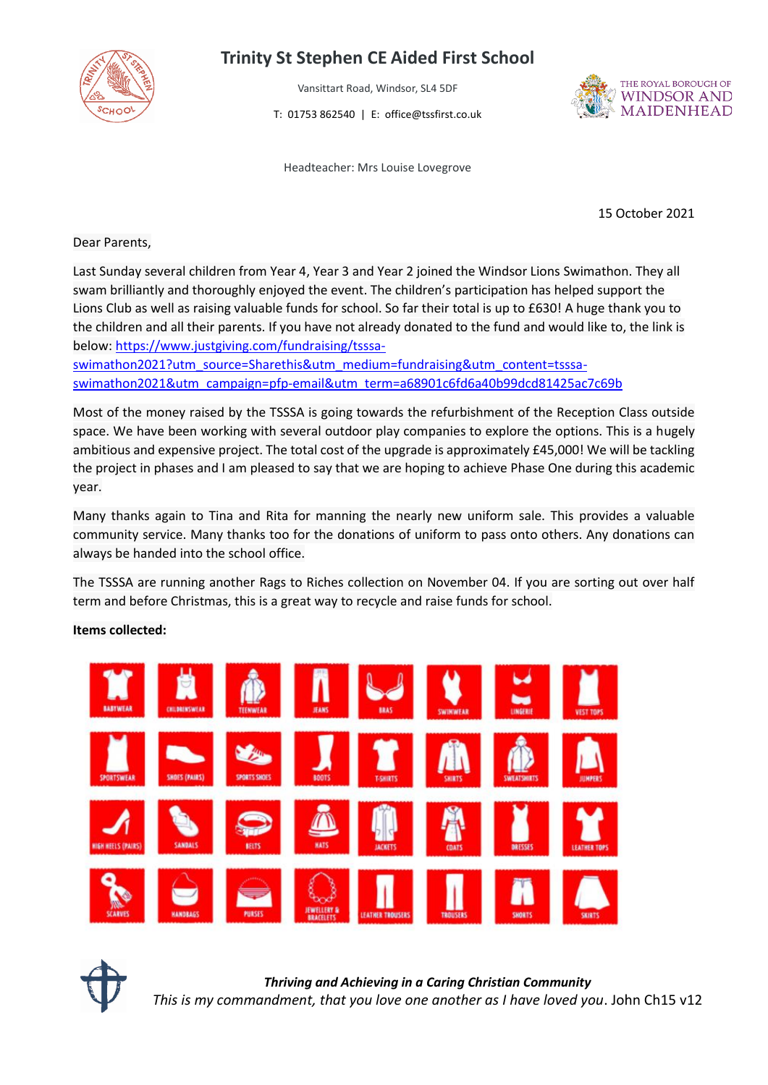

## **Trinity St Stephen CE Aided First School**

Vansittart Road, Windsor, SL4 5DF

T: 01753 862540 | E: office@tssfirst.co.uk

Headteacher: Mrs Louise Lovegrove



15 October 2021

Dear Parents,

Last Sunday several children from Year 4, Year 3 and Year 2 joined the Windsor Lions Swimathon. They all swam brilliantly and thoroughly enjoyed the event. The children's participation has helped support the Lions Club as well as raising valuable funds for school. So far their total is up to £630! A huge thank you to the children and all their parents. If you have not already donated to the fund and would like to, the link is below: [https://www.justgiving.com/fundraising/tsssa-](https://www.justgiving.com/fundraising/tsssa-swimathon2021?utm_source=Sharethis&utm_medium=fundraising&utm_content=tsssa-swimathon2021&utm_campaign=pfp-email&utm_term=a68901c6fd6a40b99dcd81425ac7c69b)

[swimathon2021?utm\\_source=Sharethis&utm\\_medium=fundraising&utm\\_content=tsssa](https://www.justgiving.com/fundraising/tsssa-swimathon2021?utm_source=Sharethis&utm_medium=fundraising&utm_content=tsssa-swimathon2021&utm_campaign=pfp-email&utm_term=a68901c6fd6a40b99dcd81425ac7c69b)[swimathon2021&utm\\_campaign=pfp-email&utm\\_term=a68901c6fd6a40b99dcd81425ac7c69b](https://www.justgiving.com/fundraising/tsssa-swimathon2021?utm_source=Sharethis&utm_medium=fundraising&utm_content=tsssa-swimathon2021&utm_campaign=pfp-email&utm_term=a68901c6fd6a40b99dcd81425ac7c69b)

Most of the money raised by the TSSSA is going towards the refurbishment of the Reception Class outside space. We have been working with several outdoor play companies to explore the options. This is a hugely ambitious and expensive project. The total cost of the upgrade is approximately £45,000! We will be tackling the project in phases and I am pleased to say that we are hoping to achieve Phase One during this academic year.

Many thanks again to Tina and Rita for manning the nearly new uniform sale. This provides a valuable community service. Many thanks too for the donations of uniform to pass onto others. Any donations can always be handed into the school office.

The TSSSA are running another Rags to Riches collection on November 04. If you are sorting out over half term and before Christmas, this is a great way to recycle and raise funds for school.

**Items collected:**





*Thriving and Achieving in a Caring Christian Community This is my commandment, that you love one another as I have loved you*. John Ch15 v12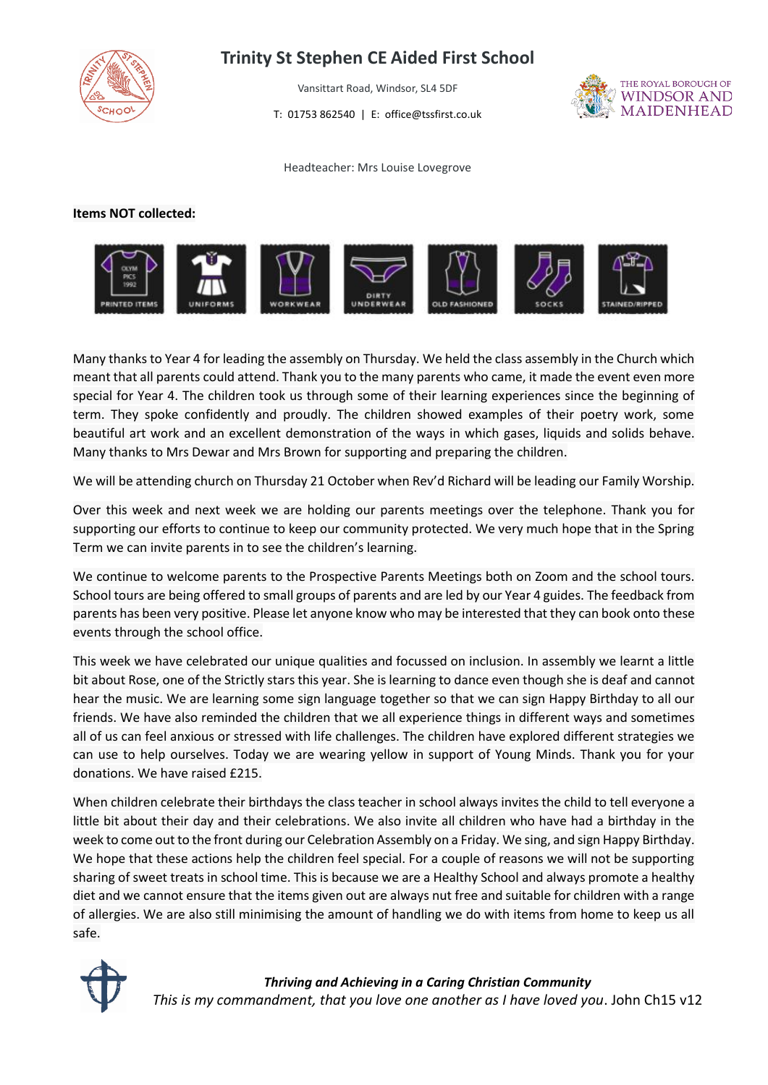

## **Trinity St Stephen CE Aided First School**

Vansittart Road, Windsor, SL4 5DF

T: 01753 862540 | E: office@tssfirst.co.uk



Headteacher: Mrs Louise Lovegrove

## **Items NOT collected:**



Many thanks to Year 4 for leading the assembly on Thursday. We held the class assembly in the Church which meant that all parents could attend. Thank you to the many parents who came, it made the event even more special for Year 4. The children took us through some of their learning experiences since the beginning of term. They spoke confidently and proudly. The children showed examples of their poetry work, some beautiful art work and an excellent demonstration of the ways in which gases, liquids and solids behave. Many thanks to Mrs Dewar and Mrs Brown for supporting and preparing the children.

We will be attending church on Thursday 21 October when Rev'd Richard will be leading our Family Worship.

Over this week and next week we are holding our parents meetings over the telephone. Thank you for supporting our efforts to continue to keep our community protected. We very much hope that in the Spring Term we can invite parents in to see the children's learning.

We continue to welcome parents to the Prospective Parents Meetings both on Zoom and the school tours. School tours are being offered to small groups of parents and are led by our Year 4 guides. The feedback from parents has been very positive. Please let anyone know who may be interested that they can book onto these events through the school office.

This week we have celebrated our unique qualities and focussed on inclusion. In assembly we learnt a little bit about Rose, one of the Strictly stars this year. She is learning to dance even though she is deaf and cannot hear the music. We are learning some sign language together so that we can sign Happy Birthday to all our friends. We have also reminded the children that we all experience things in different ways and sometimes all of us can feel anxious or stressed with life challenges. The children have explored different strategies we can use to help ourselves. Today we are wearing yellow in support of Young Minds. Thank you for your donations. We have raised £215.

When children celebrate their birthdays the class teacher in school always invites the child to tell everyone a little bit about their day and their celebrations. We also invite all children who have had a birthday in the week to come out to the front during our Celebration Assembly on a Friday. We sing, and sign Happy Birthday. We hope that these actions help the children feel special. For a couple of reasons we will not be supporting sharing of sweet treats in school time. This is because we are a Healthy School and always promote a healthy diet and we cannot ensure that the items given out are always nut free and suitable for children with a range of allergies. We are also still minimising the amount of handling we do with items from home to keep us all safe.



*Thriving and Achieving in a Caring Christian Community This is my commandment, that you love one another as I have loved you*. John Ch15 v12